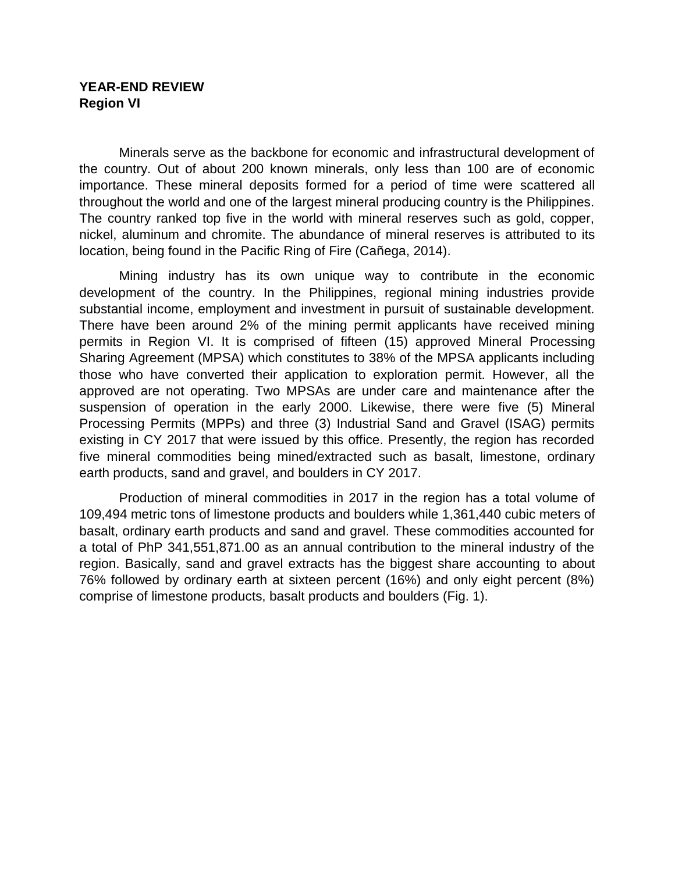## **YEAR-END REVIEW Region VI**

Minerals serve as the backbone for economic and infrastructural development of the country. Out of about 200 known minerals, only less than 100 are of economic importance. These mineral deposits formed for a period of time were scattered all throughout the world and one of the largest mineral producing country is the Philippines. The country ranked top five in the world with mineral reserves such as gold, copper, nickel, aluminum and chromite. The abundance of mineral reserves is attributed to its location, being found in the Pacific Ring of Fire (Cañega, 2014).

Mining industry has its own unique way to contribute in the economic development of the country. In the Philippines, regional mining industries provide substantial income, employment and investment in pursuit of sustainable development. There have been around 2% of the mining permit applicants have received mining permits in Region VI. It is comprised of fifteen (15) approved Mineral Processing Sharing Agreement (MPSA) which constitutes to 38% of the MPSA applicants including those who have converted their application to exploration permit. However, all the approved are not operating. Two MPSAs are under care and maintenance after the suspension of operation in the early 2000. Likewise, there were five (5) Mineral Processing Permits (MPPs) and three (3) Industrial Sand and Gravel (ISAG) permits existing in CY 2017 that were issued by this office. Presently, the region has recorded five mineral commodities being mined/extracted such as basalt, limestone, ordinary earth products, sand and gravel, and boulders in CY 2017.

Production of mineral commodities in 2017 in the region has a total volume of 109,494 metric tons of limestone products and boulders while 1,361,440 cubic meters of basalt, ordinary earth products and sand and gravel. These commodities accounted for a total of PhP 341,551,871.00 as an annual contribution to the mineral industry of the region. Basically, sand and gravel extracts has the biggest share accounting to about 76% followed by ordinary earth at sixteen percent (16%) and only eight percent (8%) comprise of limestone products, basalt products and boulders (Fig. 1).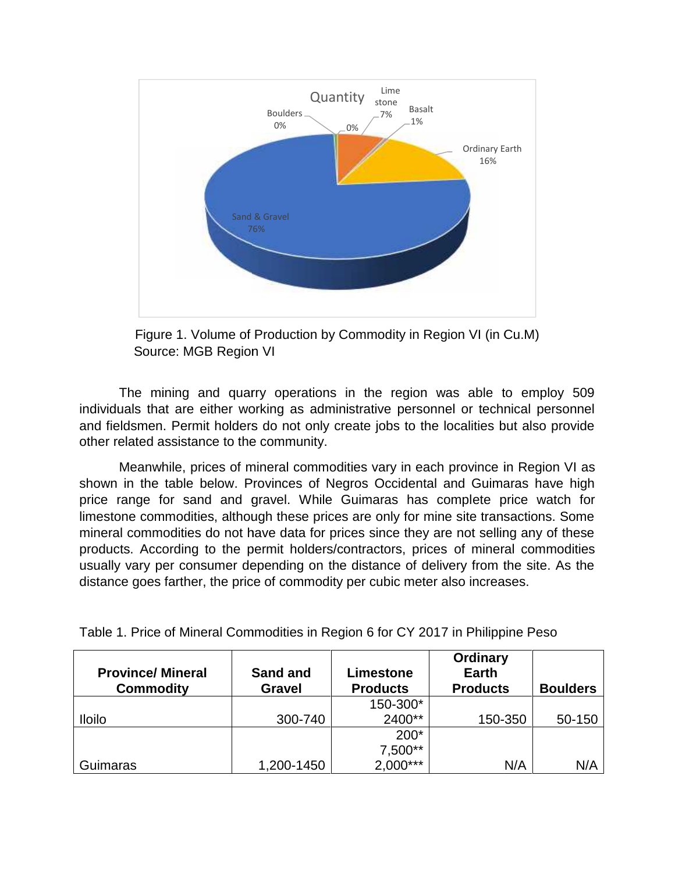

Figure 1. Volume of Production by Commodity in Region VI (in Cu.M) Source: MGB Region VI Figure 1. Volume of Production by Commodity in Region VI (in Cu.M)<br>Source: MGB Region VI<br>The mining and quarry operations in the region was able to employ 509

individuals that are either working as administrative personnel or technical personnel and fieldsmen. Permit holders do not only create jobs to the localities but also provide the other related assistance to the community. individuals that are either working as administrative personnel or technical personnel<br>and fieldsmen. Permit holders do not only create jobs to the localities but also provide<br>other related assistance to the community.<br>Mea

Meanwhile, prices of mineral commodities vary in each province in Region VI as price range for sand and gravel. While Guimaras has complete price watch for limestone commodities, although these prices are only for mine site transactions. Some mineral commodities do not have data for prices since they are not selling any of these products. According to the permit holders/contractors, prices of mineral commodities usually vary per consumer depending on the distance of delivery from the site. As the distance goes farther, the price of commodity per cubic meter also increases. mineral commodities do not have data for prices since they are not selling any of<br>products. According to the permit holders/contractors, prices of mineral commo<br>usually vary per consumer depending on the distance of delive <sup>16%</sup><br>
<sup>16%</sup><br>
<sup>16%</sup><br>
(in Cu.M)<br>
ble to employ 509<br>
technical personnel<br>
ies but also provide<br>
nce in Region VI as<br>
iuimaras have high<br>
te price watch for<br>
transactions. Some<br>
selling any of these<br>
inneral commodities<br>
crea

| <b>Province/Mineral</b><br><b>Commodity</b> | Sand and<br><b>Gravel</b> | Limestone<br><b>Products</b> | <b>Ordinary</b><br><b>Earth</b><br><b>Products</b> | <b>Boulders</b> |
|---------------------------------------------|---------------------------|------------------------------|----------------------------------------------------|-----------------|
|                                             |                           | 150-300*                     |                                                    |                 |
| <b>Iloilo</b>                               | 300-740                   | 2400**                       | 150-350                                            | 50-150          |
|                                             |                           | $200*$                       |                                                    |                 |
|                                             |                           | 7,500**                      |                                                    |                 |
| Guimaras                                    | 1,200-1450                | $2,000***$                   | N/A                                                | N/A             |

Table 1. Price of Mineral Commodities in Region 6 for CY 2017 in Philippine Peso